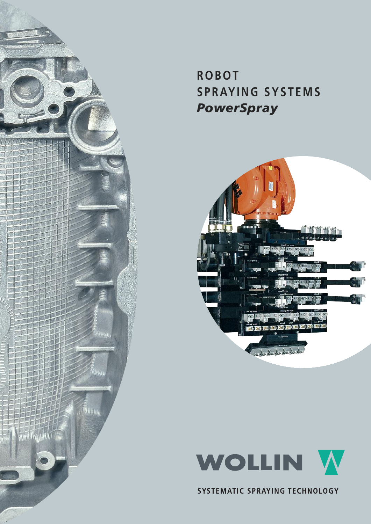

# **ROBOT S PR AYI N G SYS T EMS** *PowerSpray*





SYSTEMATIC SPRAYING TECHNOLOGY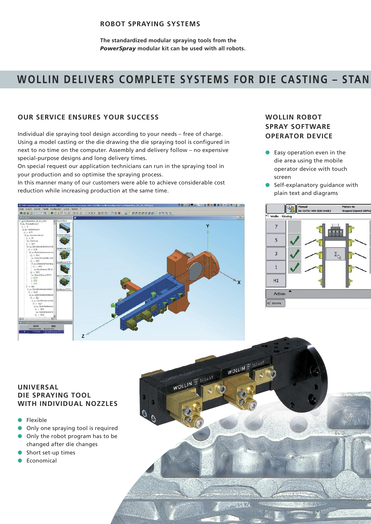#### **ROBOT SPRAYING SYSTEMS**

**The standardized modular spraying tools from the** *PowerSpray* **modular kit can be used with all robots.**

## **WOLLIN DELIVERS COMPLETE SYSTEMS FOR DIE CASTING – STAN**

#### **OUR SERVICE ENSURES YOUR SUCCESS**

Individual die spraying tool design according to your needs – free of charge. Using a model casting or the die drawing the die spraying tool is configured in next to no time on the computer. Assembly and delivery follow – no expensive special-purpose designs and long delivery times.

On special request our application technicians can run in the spraying tool in your production and so optimise the spraying process.

In this manner many of our customers were able to achieve considerable cost reduction while increasing production at the same time.

#### **WOLLIN ROBOT SPRAY SOFTWARE OPERATOR DEVICE**

- Easy operation even in the die area using the mobile operator device with touch screen
- Self-explanatory quidance with plain text and diagrams





#### **UNIVERSAL DIE SPRAYING TOOL WITH INDIVIDUAL NOZZLES**

- **Flexible**
- Only one spraying tool is required
- Only the robot program has to be changed after die changes
- Short set-up times
- **Economical**

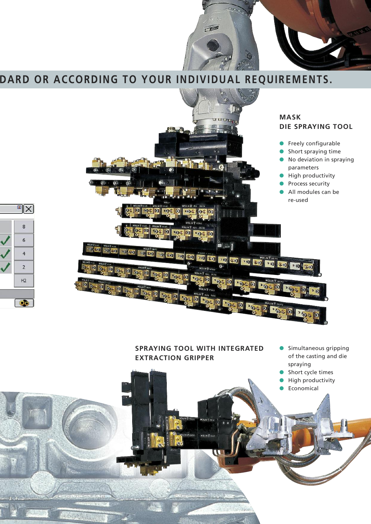

## **DARD OR ACCORDING TO YOUR INDIVIDUAL REQUIREMENTS.**

 $\mathbb{E}[X]$ 

8

 $6\overline{6}$ 

 $\overline{4}$ 

 $\overline{2}$ 

 $H<sub>2</sub>$ 

**DO** 



#### **SPRAYING TOOL WITH INTEGRATED EXTRACTION GRIPPER**

.<br>CLUB S 1302

- Simultaneous gripping of the casting and die spraying
- Short cycle times
- **High productivity**
- **Economical**